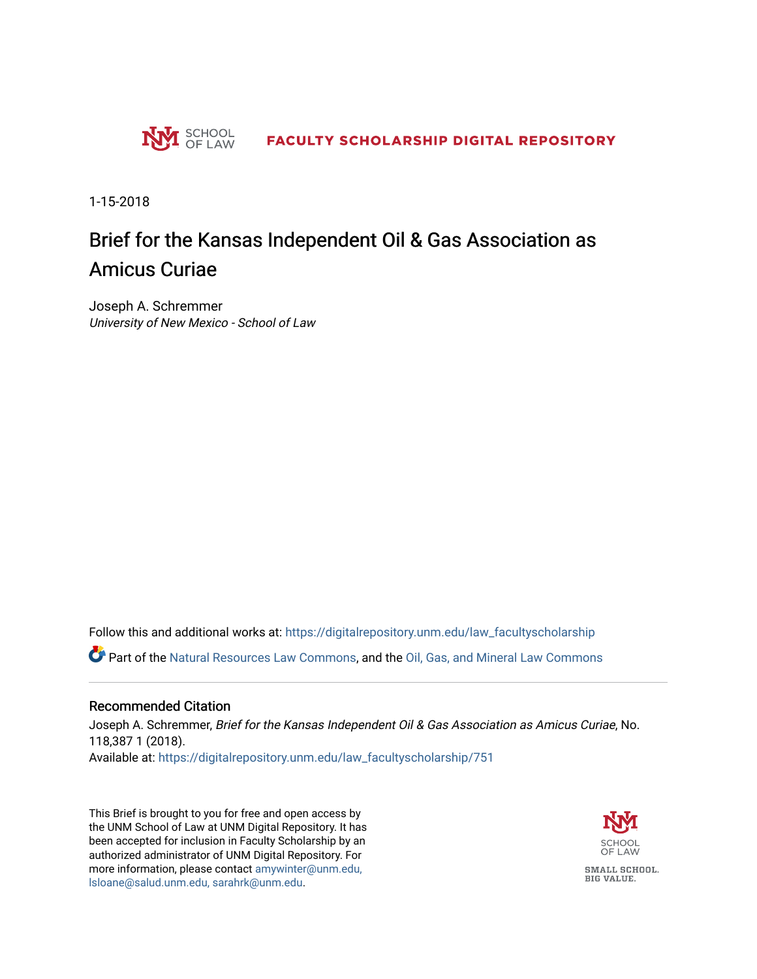

1-15-2018

# Brief for the Kansas Independent Oil & Gas Association as Amicus Curiae

Joseph A. Schremmer University of New Mexico - School of Law

Follow this and additional works at: [https://digitalrepository.unm.edu/law\\_facultyscholarship](https://digitalrepository.unm.edu/law_facultyscholarship?utm_source=digitalrepository.unm.edu%2Flaw_facultyscholarship%2F751&utm_medium=PDF&utm_campaign=PDFCoverPages) 

Part of the [Natural Resources Law Commons](http://network.bepress.com/hgg/discipline/863?utm_source=digitalrepository.unm.edu%2Flaw_facultyscholarship%2F751&utm_medium=PDF&utm_campaign=PDFCoverPages), and the [Oil, Gas, and Mineral Law Commons](http://network.bepress.com/hgg/discipline/864?utm_source=digitalrepository.unm.edu%2Flaw_facultyscholarship%2F751&utm_medium=PDF&utm_campaign=PDFCoverPages) 

#### Recommended Citation

Joseph A. Schremmer, Brief for the Kansas Independent Oil & Gas Association as Amicus Curiae, No. 118,387 1 (2018). Available at: [https://digitalrepository.unm.edu/law\\_facultyscholarship/751](https://digitalrepository.unm.edu/law_facultyscholarship/751?utm_source=digitalrepository.unm.edu%2Flaw_facultyscholarship%2F751&utm_medium=PDF&utm_campaign=PDFCoverPages) 

This Brief is brought to you for free and open access by the UNM School of Law at UNM Digital Repository. It has been accepted for inclusion in Faculty Scholarship by an authorized administrator of UNM Digital Repository. For more information, please contact [amywinter@unm.edu,](mailto:amywinter@unm.edu,%20lsloane@salud.unm.edu,%20sarahrk@unm.edu)  [lsloane@salud.unm.edu, sarahrk@unm.edu.](mailto:amywinter@unm.edu,%20lsloane@salud.unm.edu,%20sarahrk@unm.edu)

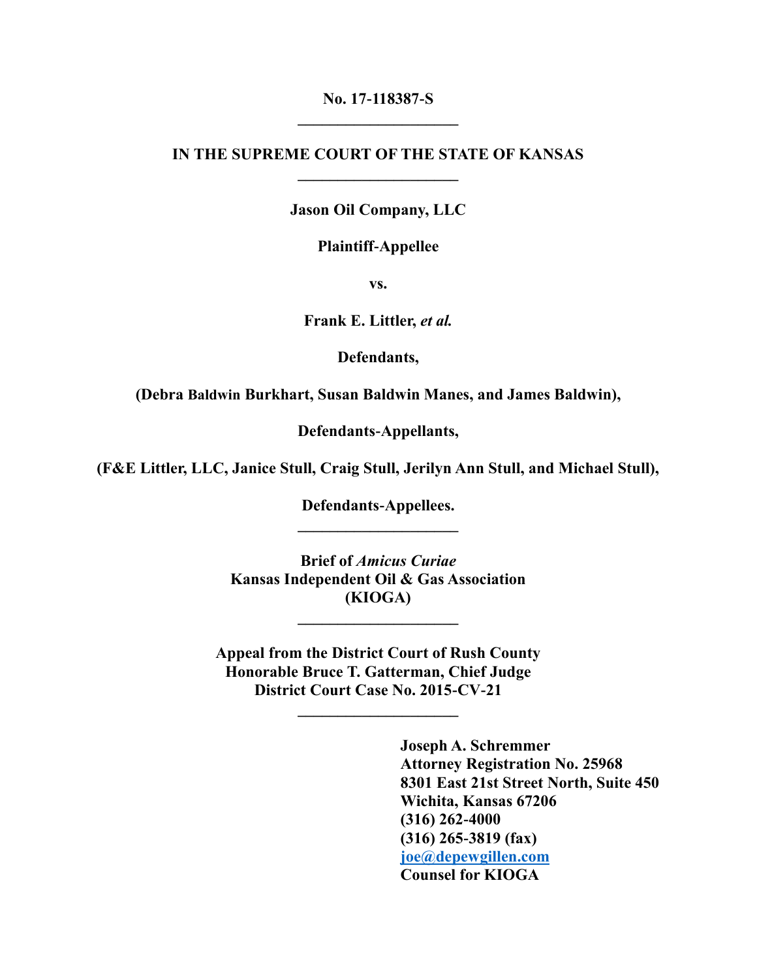### **No. 17-118387-S \_\_\_\_\_\_\_\_\_\_\_\_\_\_\_\_\_\_\_\_**

#### **IN THE SUPREME COURT OF THE STATE OF KANSAS \_\_\_\_\_\_\_\_\_\_\_\_\_\_\_\_\_\_\_\_**

#### **Jason Oil Company, LLC**

#### **Plaintiff-Appellee**

**vs.**

**Frank E. Littler,** *et al.*

**Defendants,** 

**(Debra Baldwin Burkhart, Susan Baldwin Manes, and James Baldwin),**

**Defendants-Appellants,**

**(F&E Littler, LLC, Janice Stull, Craig Stull, Jerilyn Ann Stull, and Michael Stull),**

**Defendants-Appellees. \_\_\_\_\_\_\_\_\_\_\_\_\_\_\_\_\_\_\_\_**

**Brief of** *Amicus Curiae* **Kansas Independent Oil & Gas Association (KIOGA)**

**\_\_\_\_\_\_\_\_\_\_\_\_\_\_\_\_\_\_\_\_**

**Appeal from the District Court of Rush County Honorable Bruce T. Gatterman, Chief Judge District Court Case No. 2015-CV-21**

**\_\_\_\_\_\_\_\_\_\_\_\_\_\_\_\_\_\_\_\_**

**Joseph A. Schremmer Attorney Registration No. 25968 8301 East 21st Street North, Suite 450 Wichita, Kansas 67206 (316) 262-4000 (316) 265-3819 (fax) [joe@depewgillen.com](mailto:joe@depewgillen.com) Counsel for KIOGA**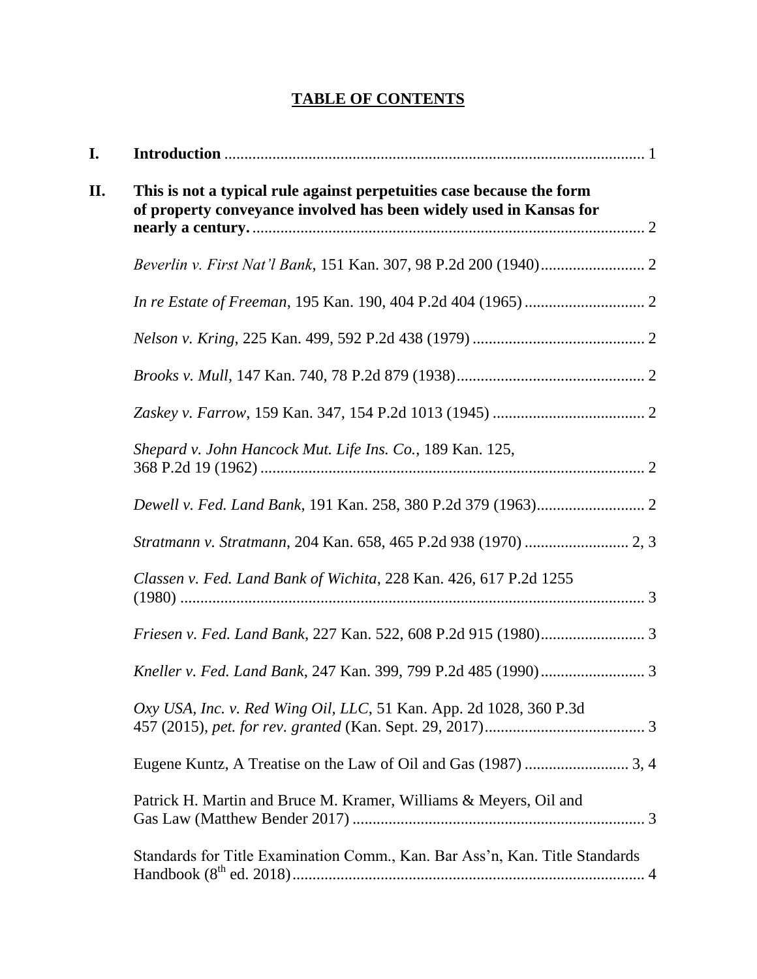# **TABLE OF CONTENTS**

| I. |                                                                                                                                             |  |  |  |  |  |
|----|---------------------------------------------------------------------------------------------------------------------------------------------|--|--|--|--|--|
| П. | This is not a typical rule against perpetuities case because the form<br>of property conveyance involved has been widely used in Kansas for |  |  |  |  |  |
|    |                                                                                                                                             |  |  |  |  |  |
|    |                                                                                                                                             |  |  |  |  |  |
|    |                                                                                                                                             |  |  |  |  |  |
|    |                                                                                                                                             |  |  |  |  |  |
|    |                                                                                                                                             |  |  |  |  |  |
|    | Shepard v. John Hancock Mut. Life Ins. Co., 189 Kan. 125,                                                                                   |  |  |  |  |  |
|    |                                                                                                                                             |  |  |  |  |  |
|    |                                                                                                                                             |  |  |  |  |  |
|    | Classen v. Fed. Land Bank of Wichita, 228 Kan. 426, 617 P.2d 1255                                                                           |  |  |  |  |  |
|    |                                                                                                                                             |  |  |  |  |  |
|    |                                                                                                                                             |  |  |  |  |  |
|    | Oxy USA, Inc. v. Red Wing Oil, LLC, 51 Kan. App. 2d 1028, 360 P.3d                                                                          |  |  |  |  |  |
|    |                                                                                                                                             |  |  |  |  |  |
|    | Patrick H. Martin and Bruce M. Kramer, Williams & Meyers, Oil and                                                                           |  |  |  |  |  |
|    | Standards for Title Examination Comm., Kan. Bar Ass'n, Kan. Title Standards                                                                 |  |  |  |  |  |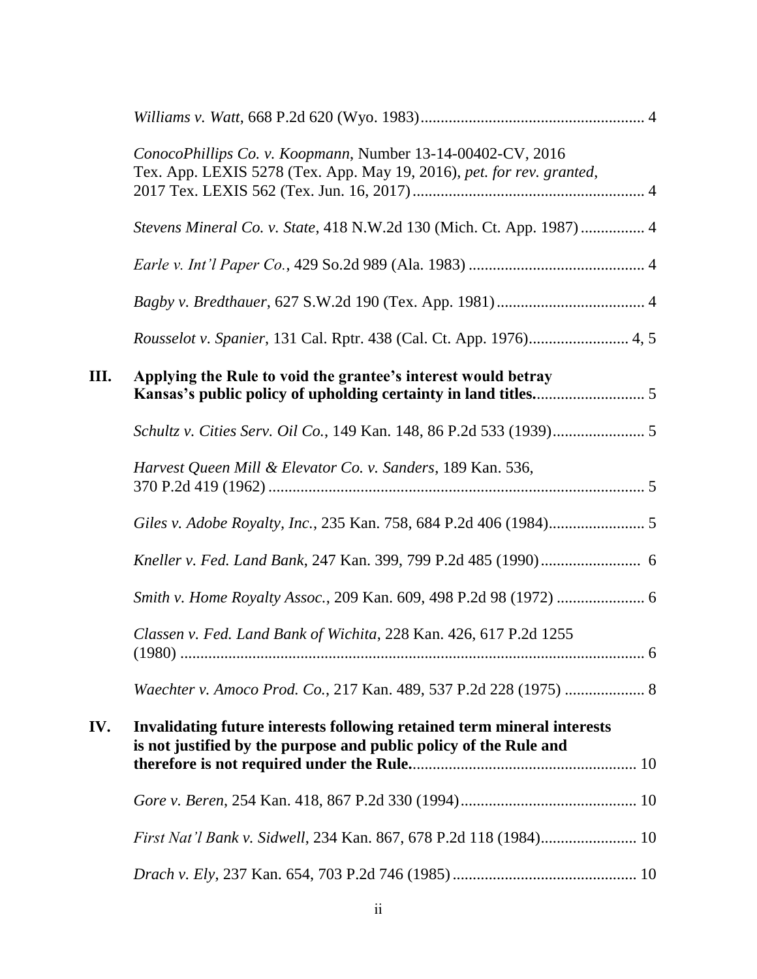|     | ConocoPhillips Co. v. Koopmann, Number 13-14-00402-CV, 2016<br>Tex. App. LEXIS 5278 (Tex. App. May 19, 2016), pet. for rev. granted,         |  |
|-----|----------------------------------------------------------------------------------------------------------------------------------------------|--|
|     | Stevens Mineral Co. v. State, 418 N.W.2d 130 (Mich. Ct. App. 1987)  4                                                                        |  |
|     |                                                                                                                                              |  |
|     |                                                                                                                                              |  |
|     | Rousselot v. Spanier, 131 Cal. Rptr. 438 (Cal. Ct. App. 1976) 4, 5                                                                           |  |
| Ш.  | Applying the Rule to void the grantee's interest would betray                                                                                |  |
|     |                                                                                                                                              |  |
|     | Harvest Queen Mill & Elevator Co. v. Sanders, 189 Kan. 536,                                                                                  |  |
|     |                                                                                                                                              |  |
|     |                                                                                                                                              |  |
|     |                                                                                                                                              |  |
|     | Classen v. Fed. Land Bank of Wichita, 228 Kan. 426, 617 P.2d 1255                                                                            |  |
|     | Waechter v. Amoco Prod. Co., 217 Kan. 489, 537 P.2d 228 (1975)  8                                                                            |  |
| IV. | Invalidating future interests following retained term mineral interests<br>is not justified by the purpose and public policy of the Rule and |  |
|     |                                                                                                                                              |  |
|     |                                                                                                                                              |  |
|     |                                                                                                                                              |  |
|     |                                                                                                                                              |  |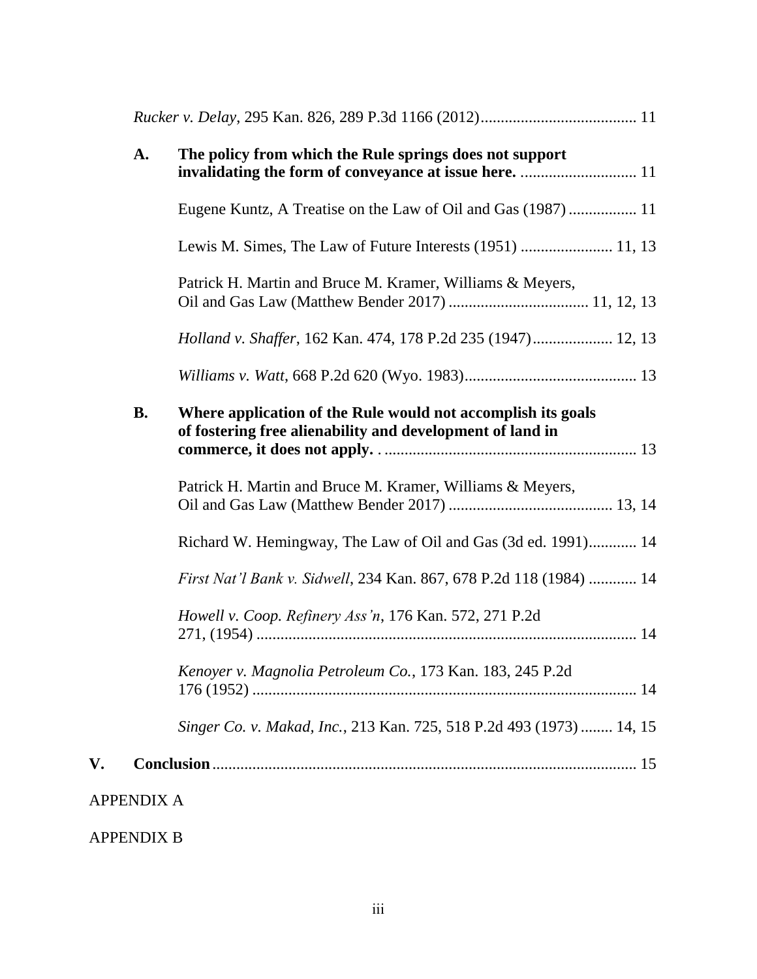|    | A.                | The policy from which the Rule springs does not support                                                                   |
|----|-------------------|---------------------------------------------------------------------------------------------------------------------------|
|    |                   | Eugene Kuntz, A Treatise on the Law of Oil and Gas (1987)  11                                                             |
|    |                   | Lewis M. Simes, The Law of Future Interests (1951)  11, 13                                                                |
|    |                   | Patrick H. Martin and Bruce M. Kramer, Williams & Meyers,                                                                 |
|    |                   | Holland v. Shaffer, 162 Kan. 474, 178 P.2d 235 (1947) 12, 13                                                              |
|    |                   |                                                                                                                           |
|    | <b>B.</b>         | Where application of the Rule would not accomplish its goals<br>of fostering free alienability and development of land in |
|    |                   | Patrick H. Martin and Bruce M. Kramer, Williams & Meyers,                                                                 |
|    |                   | Richard W. Hemingway, The Law of Oil and Gas (3d ed. 1991) 14                                                             |
|    |                   | First Nat'l Bank v. Sidwell, 234 Kan. 867, 678 P.2d 118 (1984)  14                                                        |
|    |                   | Howell v. Coop. Refinery Ass'n, 176 Kan. 572, 271 P.2d                                                                    |
|    |                   | Kenoyer v. Magnolia Petroleum Co., 173 Kan. 183, 245 P.2d                                                                 |
|    |                   | Singer Co. v. Makad, Inc., 213 Kan. 725, 518 P.2d 493 (1973) 14, 15                                                       |
| V. |                   |                                                                                                                           |
|    | <b>APPENDIX A</b> |                                                                                                                           |

APPENDIX B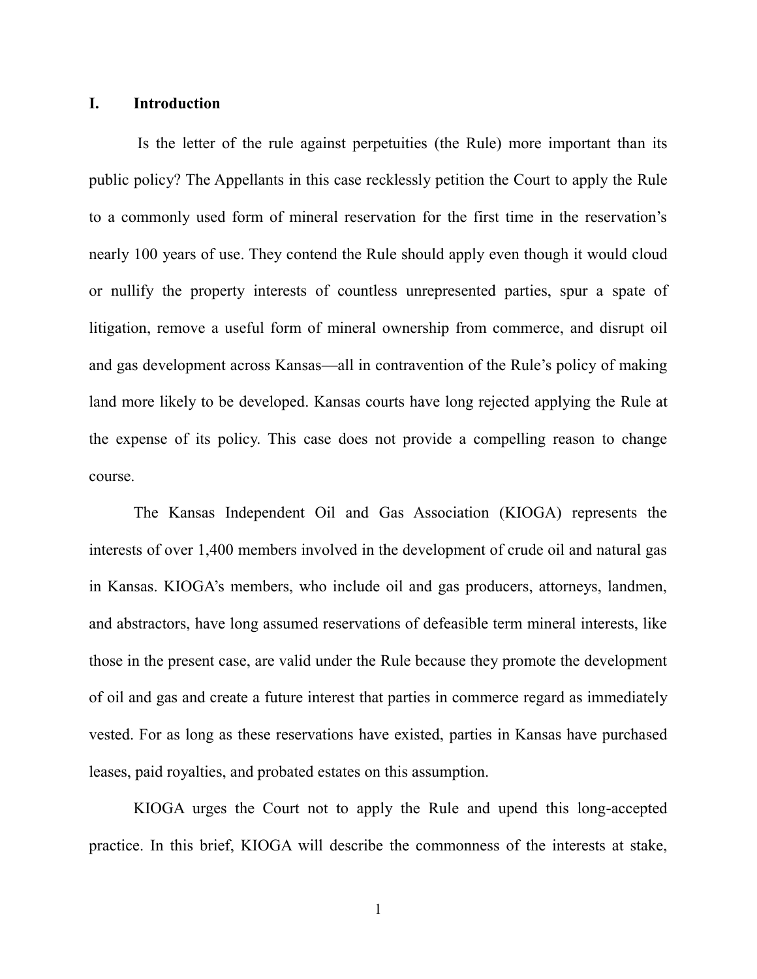#### **I. Introduction**

Is the letter of the rule against perpetuities (the Rule) more important than its public policy? The Appellants in this case recklessly petition the Court to apply the Rule to a commonly used form of mineral reservation for the first time in the reservation's nearly 100 years of use. They contend the Rule should apply even though it would cloud or nullify the property interests of countless unrepresented parties, spur a spate of litigation, remove a useful form of mineral ownership from commerce, and disrupt oil and gas development across Kansas—all in contravention of the Rule's policy of making land more likely to be developed. Kansas courts have long rejected applying the Rule at the expense of its policy. This case does not provide a compelling reason to change course.

The Kansas Independent Oil and Gas Association (KIOGA) represents the interests of over 1,400 members involved in the development of crude oil and natural gas in Kansas. KIOGA's members, who include oil and gas producers, attorneys, landmen, and abstractors, have long assumed reservations of defeasible term mineral interests, like those in the present case, are valid under the Rule because they promote the development of oil and gas and create a future interest that parties in commerce regard as immediately vested. For as long as these reservations have existed, parties in Kansas have purchased leases, paid royalties, and probated estates on this assumption.

KIOGA urges the Court not to apply the Rule and upend this long-accepted practice. In this brief, KIOGA will describe the commonness of the interests at stake,

1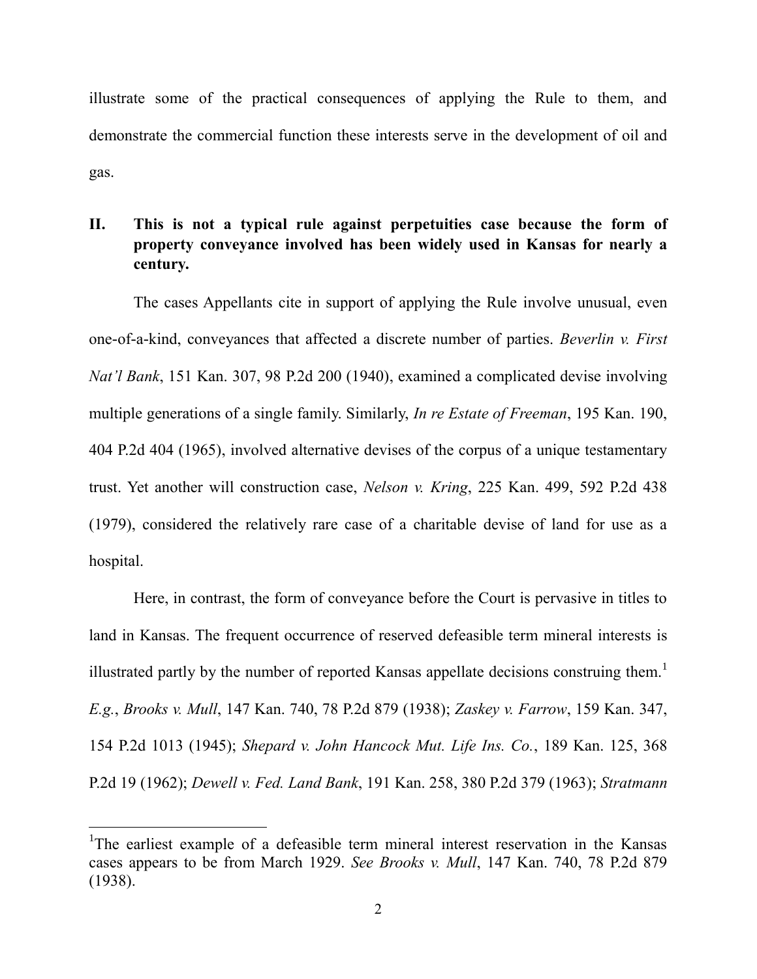illustrate some of the practical consequences of applying the Rule to them, and demonstrate the commercial function these interests serve in the development of oil and gas.

## **II. This is not a typical rule against perpetuities case because the form of property conveyance involved has been widely used in Kansas for nearly a century.**

The cases Appellants cite in support of applying the Rule involve unusual, even one-of-a-kind, conveyances that affected a discrete number of parties. *Beverlin v. First Nat'l Bank*, 151 Kan. 307, 98 P.2d 200 (1940), examined a complicated devise involving multiple generations of a single family. Similarly, *In re Estate of Freeman*, 195 Kan. 190, 404 P.2d 404 (1965), involved alternative devises of the corpus of a unique testamentary trust. Yet another will construction case, *Nelson v. Kring*, 225 Kan. 499, 592 P.2d 438 (1979), considered the relatively rare case of a charitable devise of land for use as a hospital.

Here, in contrast, the form of conveyance before the Court is pervasive in titles to land in Kansas. The frequent occurrence of reserved defeasible term mineral interests is illustrated partly by the number of reported Kansas appellate decisions construing them.<sup>1</sup> *E.g.*, *Brooks v. Mull*, 147 Kan. 740, 78 P.2d 879 (1938); *Zaskey v. Farrow*, 159 Kan. 347, 154 P.2d 1013 (1945); *Shepard v. John Hancock Mut. Life Ins. Co.*, 189 Kan. 125, 368 P.2d 19 (1962); *Dewell v. Fed. Land Bank*, 191 Kan. 258, 380 P.2d 379 (1963); *Stratmann* 

<sup>&</sup>lt;sup>1</sup>The earliest example of a defeasible term mineral interest reservation in the Kansas cases appears to be from March 1929. *See Brooks v. Mull*, 147 Kan. 740, 78 P.2d 879 (1938).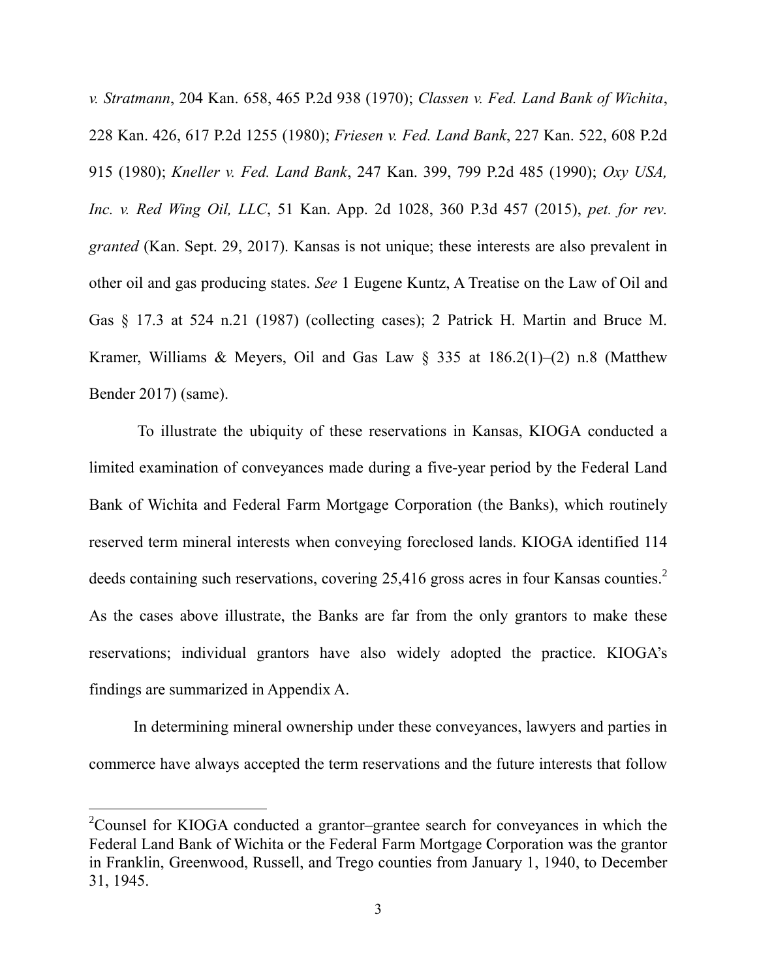*v. Stratmann*, 204 Kan. 658, 465 P.2d 938 (1970); *Classen v. Fed. Land Bank of Wichita*, 228 Kan. 426, 617 P.2d 1255 (1980); *Friesen v. Fed. Land Bank*, 227 Kan. 522, 608 P.2d 915 (1980); *Kneller v. Fed. Land Bank*, 247 Kan. 399, 799 P.2d 485 (1990); *Oxy USA, Inc. v. Red Wing Oil, LLC*, 51 Kan. App. 2d 1028, 360 P.3d 457 (2015), *pet. for rev. granted* (Kan. Sept. 29, 2017). Kansas is not unique; these interests are also prevalent in other oil and gas producing states. *See* 1 Eugene Kuntz, A Treatise on the Law of Oil and Gas § 17.3 at 524 n.21 (1987) (collecting cases); 2 Patrick H. Martin and Bruce M. Kramer, Williams & Meyers, Oil and Gas Law  $\S$  335 at 186.2(1)–(2) n.8 (Matthew Bender 2017) (same).

To illustrate the ubiquity of these reservations in Kansas, KIOGA conducted a limited examination of conveyances made during a five-year period by the Federal Land Bank of Wichita and Federal Farm Mortgage Corporation (the Banks), which routinely reserved term mineral interests when conveying foreclosed lands. KIOGA identified 114 deeds containing such reservations, covering 25,416 gross acres in four Kansas counties.<sup>2</sup> As the cases above illustrate, the Banks are far from the only grantors to make these reservations; individual grantors have also widely adopted the practice. KIOGA's findings are summarized in Appendix A.

In determining mineral ownership under these conveyances, lawyers and parties in commerce have always accepted the term reservations and the future interests that follow

<sup>&</sup>lt;sup>2</sup>Counsel for KIOGA conducted a grantor–grantee search for conveyances in which the Federal Land Bank of Wichita or the Federal Farm Mortgage Corporation was the grantor in Franklin, Greenwood, Russell, and Trego counties from January 1, 1940, to December 31, 1945.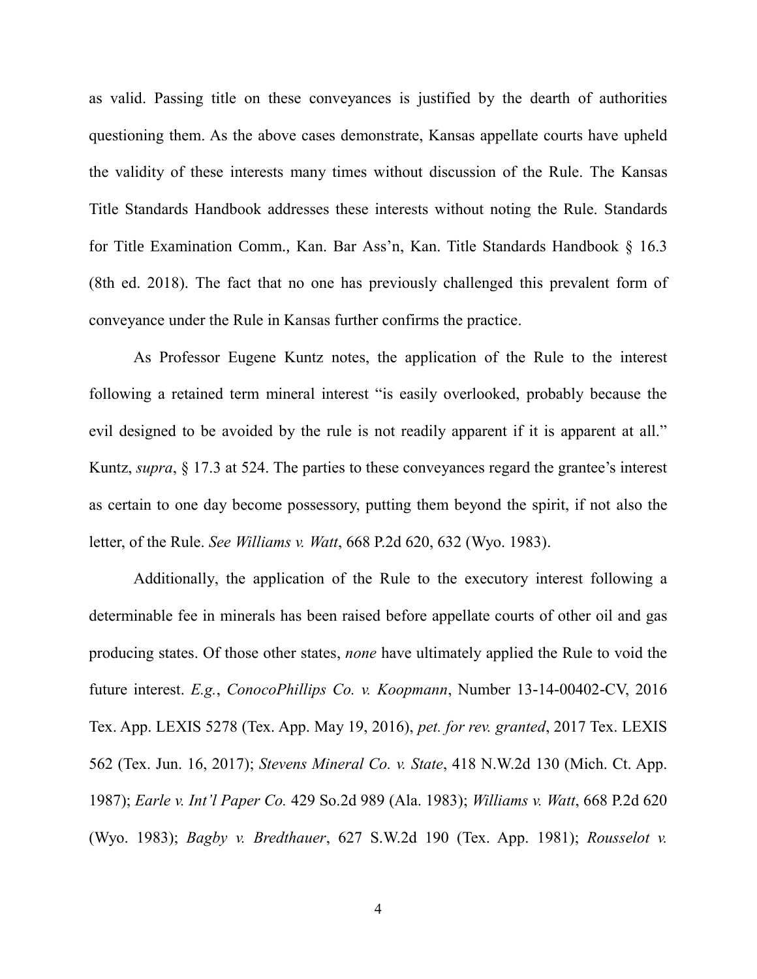as valid. Passing title on these conveyances is justified by the dearth of authorities questioning them. As the above cases demonstrate, Kansas appellate courts have upheld the validity of these interests many times without discussion of the Rule. The Kansas Title Standards Handbook addresses these interests without noting the Rule. Standards for Title Examination Comm., Kan. Bar Ass'n, Kan. Title Standards Handbook § 16.3 (8th ed. 2018). The fact that no one has previously challenged this prevalent form of conveyance under the Rule in Kansas further confirms the practice.

As Professor Eugene Kuntz notes, the application of the Rule to the interest following a retained term mineral interest "is easily overlooked, probably because the evil designed to be avoided by the rule is not readily apparent if it is apparent at all." Kuntz, *supra*, § 17.3 at 524. The parties to these conveyances regard the grantee's interest as certain to one day become possessory, putting them beyond the spirit, if not also the letter, of the Rule. *See Williams v. Watt*, 668 P.2d 620, 632 (Wyo. 1983).

Additionally, the application of the Rule to the executory interest following a determinable fee in minerals has been raised before appellate courts of other oil and gas producing states. Of those other states, *none* have ultimately applied the Rule to void the future interest. *E.g.*, *ConocoPhillips Co. v. Koopmann*, Number 13-14-00402-CV, 2016 Tex. App. LEXIS 5278 (Tex. App. May 19, 2016), *pet. for rev. granted*, 2017 Tex. LEXIS 562 (Tex. Jun. 16, 2017); *Stevens Mineral Co. v. State*, 418 N.W.2d 130 (Mich. Ct. App. 1987); *Earle v. Int'l Paper Co.* 429 So.2d 989 (Ala. 1983); *Williams v. Watt*, 668 P.2d 620 (Wyo. 1983); *Bagby v. Bredthauer*, 627 S.W.2d 190 (Tex. App. 1981); *Rousselot v.*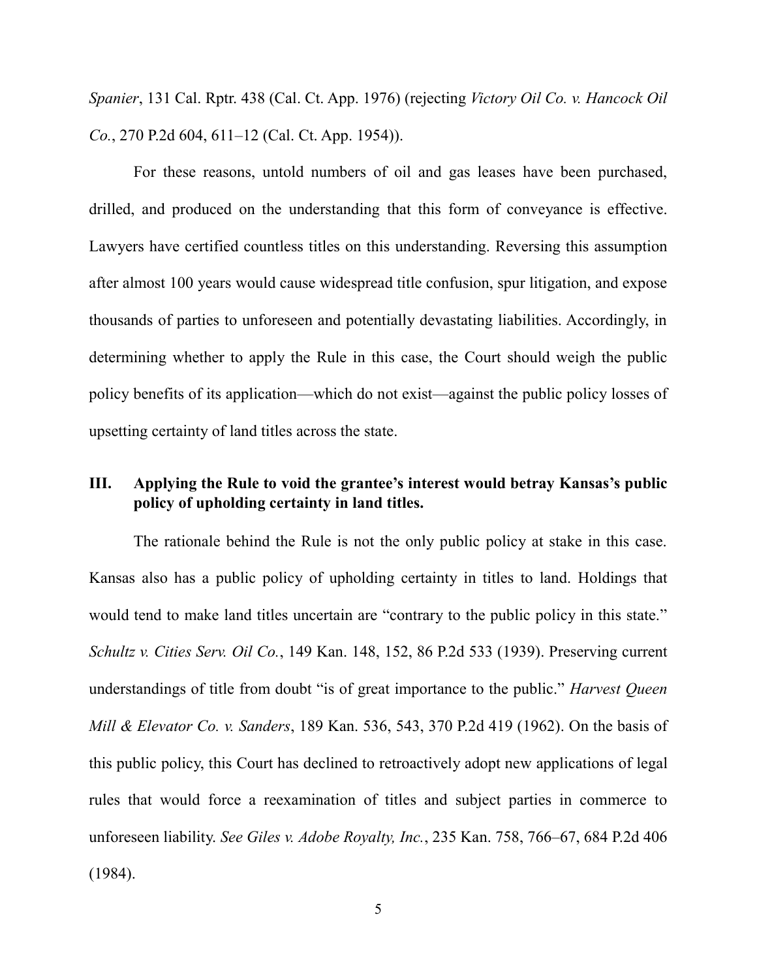*Spanier*, 131 Cal. Rptr. 438 (Cal. Ct. App. 1976) (rejecting *Victory Oil Co. v. Hancock Oil Co.*, 270 P.2d 604, 611–12 (Cal. Ct. App. 1954)).

For these reasons, untold numbers of oil and gas leases have been purchased, drilled, and produced on the understanding that this form of conveyance is effective. Lawyers have certified countless titles on this understanding. Reversing this assumption after almost 100 years would cause widespread title confusion, spur litigation, and expose thousands of parties to unforeseen and potentially devastating liabilities. Accordingly, in determining whether to apply the Rule in this case, the Court should weigh the public policy benefits of its application—which do not exist—against the public policy losses of upsetting certainty of land titles across the state.

### **III. Applying the Rule to void the grantee's interest would betray Kansas's public policy of upholding certainty in land titles.**

The rationale behind the Rule is not the only public policy at stake in this case. Kansas also has a public policy of upholding certainty in titles to land. Holdings that would tend to make land titles uncertain are "contrary to the public policy in this state." *Schultz v. Cities Serv. Oil Co.*, 149 Kan. 148, 152, 86 P.2d 533 (1939). Preserving current understandings of title from doubt "is of great importance to the public." *Harvest Queen Mill & Elevator Co. v. Sanders*, 189 Kan. 536, 543, 370 P.2d 419 (1962). On the basis of this public policy, this Court has declined to retroactively adopt new applications of legal rules that would force a reexamination of titles and subject parties in commerce to unforeseen liability. *See Giles v. Adobe Royalty, Inc.*, 235 Kan. 758, 766–67, 684 P.2d 406 (1984).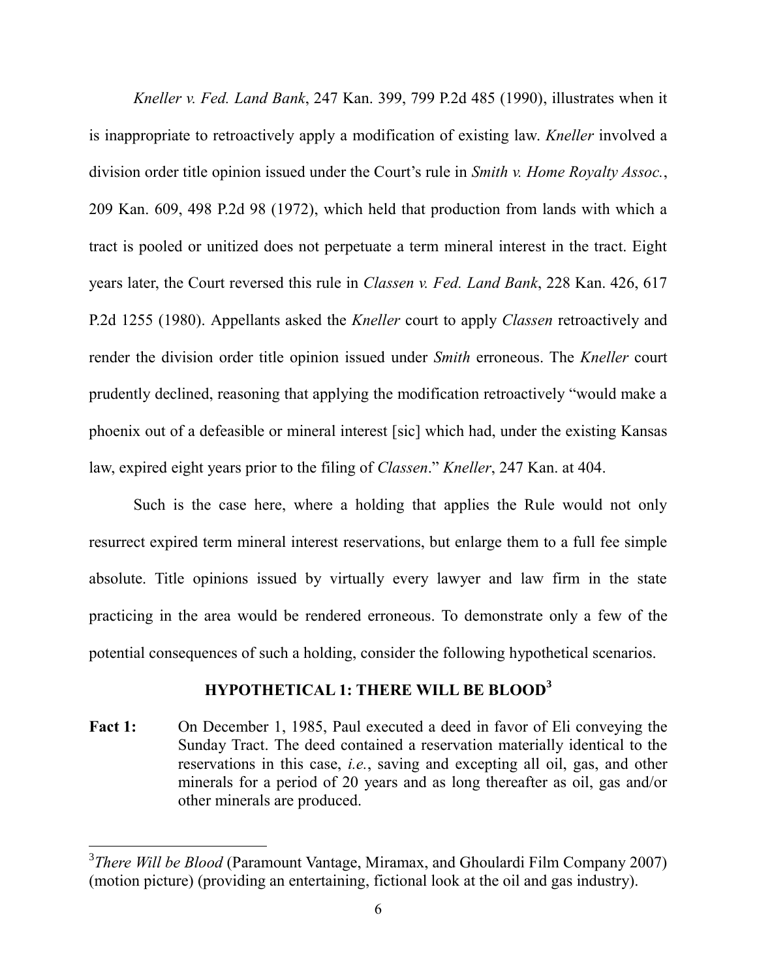*Kneller v. Fed. Land Bank*, 247 Kan. 399, 799 P.2d 485 (1990), illustrates when it is inappropriate to retroactively apply a modification of existing law. *Kneller* involved a division order title opinion issued under the Court's rule in *Smith v. Home Royalty Assoc.*, 209 Kan. 609, 498 P.2d 98 (1972), which held that production from lands with which a tract is pooled or unitized does not perpetuate a term mineral interest in the tract. Eight years later, the Court reversed this rule in *Classen v. Fed. Land Bank*, 228 Kan. 426, 617 P.2d 1255 (1980). Appellants asked the *Kneller* court to apply *Classen* retroactively and render the division order title opinion issued under *Smith* erroneous. The *Kneller* court prudently declined, reasoning that applying the modification retroactively "would make a phoenix out of a defeasible or mineral interest [sic] which had, under the existing Kansas law, expired eight years prior to the filing of *Classen*." *Kneller*, 247 Kan. at 404.

Such is the case here, where a holding that applies the Rule would not only resurrect expired term mineral interest reservations, but enlarge them to a full fee simple absolute. Title opinions issued by virtually every lawyer and law firm in the state practicing in the area would be rendered erroneous. To demonstrate only a few of the potential consequences of such a holding, consider the following hypothetical scenarios.

### **HYPOTHETICAL 1: THERE WILL BE BLOOD<sup>3</sup>**

**Fact 1:** On December 1, 1985, Paul executed a deed in favor of Eli conveying the Sunday Tract. The deed contained a reservation materially identical to the reservations in this case, *i.e.*, saving and excepting all oil, gas, and other minerals for a period of 20 years and as long thereafter as oil, gas and/or other minerals are produced.

<sup>3</sup> *There Will be Blood* (Paramount Vantage, Miramax, and Ghoulardi Film Company 2007) (motion picture) (providing an entertaining, fictional look at the oil and gas industry).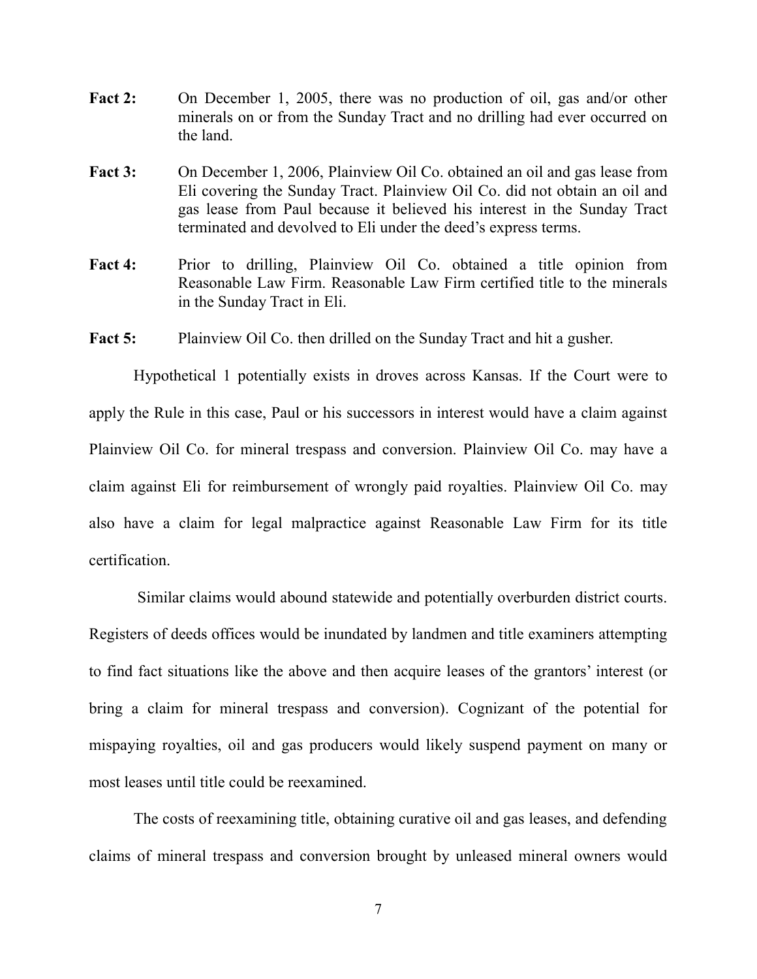- **Fact 2:** On December 1, 2005, there was no production of oil, gas and/or other minerals on or from the Sunday Tract and no drilling had ever occurred on the land.
- **Fact 3:** On December 1, 2006, Plainview Oil Co. obtained an oil and gas lease from Eli covering the Sunday Tract. Plainview Oil Co. did not obtain an oil and gas lease from Paul because it believed his interest in the Sunday Tract terminated and devolved to Eli under the deed's express terms.
- Fact 4: Prior to drilling, Plainview Oil Co. obtained a title opinion from Reasonable Law Firm. Reasonable Law Firm certified title to the minerals in the Sunday Tract in Eli.

Fact 5: Plainview Oil Co. then drilled on the Sunday Tract and hit a gusher.

Hypothetical 1 potentially exists in droves across Kansas. If the Court were to apply the Rule in this case, Paul or his successors in interest would have a claim against Plainview Oil Co. for mineral trespass and conversion. Plainview Oil Co. may have a claim against Eli for reimbursement of wrongly paid royalties. Plainview Oil Co. may also have a claim for legal malpractice against Reasonable Law Firm for its title certification.

Similar claims would abound statewide and potentially overburden district courts. Registers of deeds offices would be inundated by landmen and title examiners attempting to find fact situations like the above and then acquire leases of the grantors' interest (or bring a claim for mineral trespass and conversion). Cognizant of the potential for mispaying royalties, oil and gas producers would likely suspend payment on many or most leases until title could be reexamined.

The costs of reexamining title, obtaining curative oil and gas leases, and defending claims of mineral trespass and conversion brought by unleased mineral owners would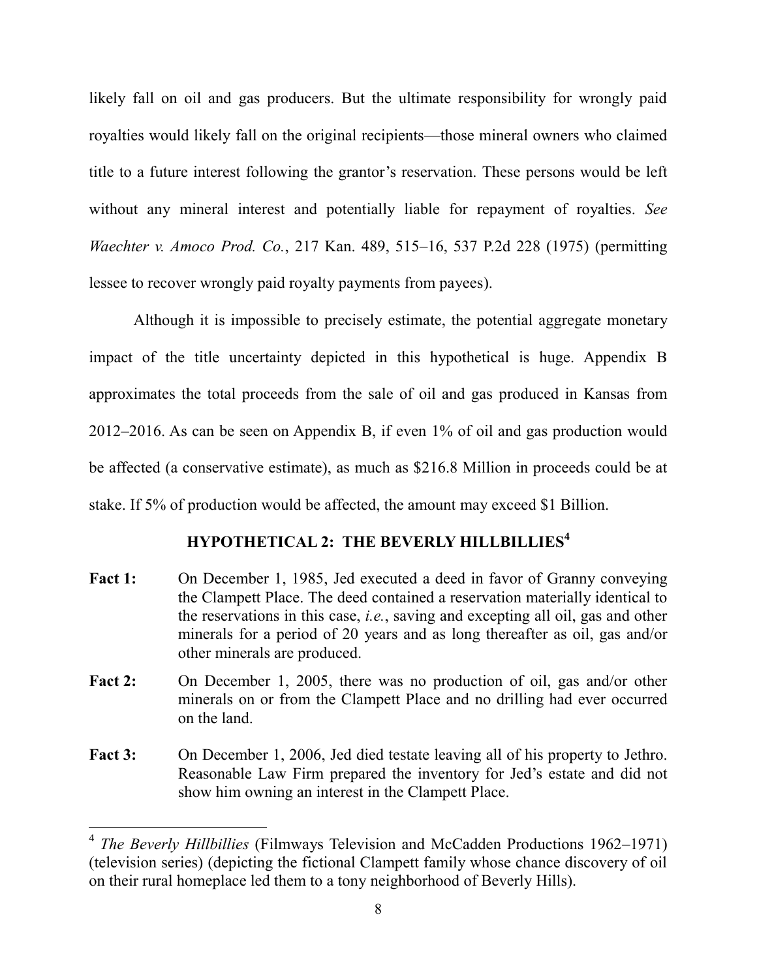likely fall on oil and gas producers. But the ultimate responsibility for wrongly paid royalties would likely fall on the original recipients—those mineral owners who claimed title to a future interest following the grantor's reservation. These persons would be left without any mineral interest and potentially liable for repayment of royalties. *See Waechter v. Amoco Prod. Co.*, 217 Kan. 489, 515–16, 537 P.2d 228 (1975) (permitting lessee to recover wrongly paid royalty payments from payees).

Although it is impossible to precisely estimate, the potential aggregate monetary impact of the title uncertainty depicted in this hypothetical is huge. Appendix B approximates the total proceeds from the sale of oil and gas produced in Kansas from 2012–2016. As can be seen on Appendix B, if even 1% of oil and gas production would be affected (a conservative estimate), as much as \$216.8 Million in proceeds could be at stake. If 5% of production would be affected, the amount may exceed \$1 Billion.

# **HYPOTHETICAL 2: THE BEVERLY HILLBILLIES<sup>4</sup>**

- **Fact 1:** On December 1, 1985, Jed executed a deed in favor of Granny conveying the Clampett Place. The deed contained a reservation materially identical to the reservations in this case, *i.e.*, saving and excepting all oil, gas and other minerals for a period of 20 years and as long thereafter as oil, gas and/or other minerals are produced.
- **Fact 2:** On December 1, 2005, there was no production of oil, gas and/or other minerals on or from the Clampett Place and no drilling had ever occurred on the land.
- **Fact 3:** On December 1, 2006, Jed died testate leaving all of his property to Jethro. Reasonable Law Firm prepared the inventory for Jed's estate and did not show him owning an interest in the Clampett Place.

<sup>4</sup> *The Beverly Hillbillies* (Filmways Television and McCadden Productions 1962–1971) (television series) (depicting the fictional Clampett family whose chance discovery of oil on their rural homeplace led them to a tony neighborhood of Beverly Hills).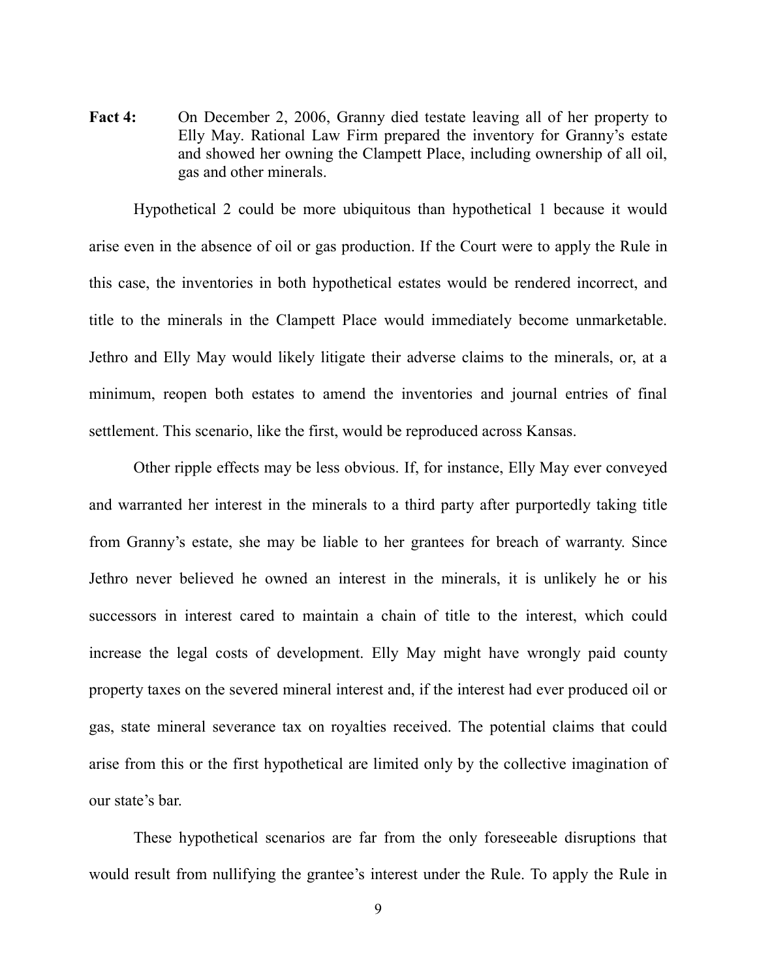**Fact 4:** On December 2, 2006, Granny died testate leaving all of her property to Elly May. Rational Law Firm prepared the inventory for Granny's estate and showed her owning the Clampett Place, including ownership of all oil, gas and other minerals.

Hypothetical 2 could be more ubiquitous than hypothetical 1 because it would arise even in the absence of oil or gas production. If the Court were to apply the Rule in this case, the inventories in both hypothetical estates would be rendered incorrect, and title to the minerals in the Clampett Place would immediately become unmarketable. Jethro and Elly May would likely litigate their adverse claims to the minerals, or, at a minimum, reopen both estates to amend the inventories and journal entries of final settlement. This scenario, like the first, would be reproduced across Kansas.

Other ripple effects may be less obvious. If, for instance, Elly May ever conveyed and warranted her interest in the minerals to a third party after purportedly taking title from Granny's estate, she may be liable to her grantees for breach of warranty. Since Jethro never believed he owned an interest in the minerals, it is unlikely he or his successors in interest cared to maintain a chain of title to the interest, which could increase the legal costs of development. Elly May might have wrongly paid county property taxes on the severed mineral interest and, if the interest had ever produced oil or gas, state mineral severance tax on royalties received. The potential claims that could arise from this or the first hypothetical are limited only by the collective imagination of our state's bar.

These hypothetical scenarios are far from the only foreseeable disruptions that would result from nullifying the grantee's interest under the Rule. To apply the Rule in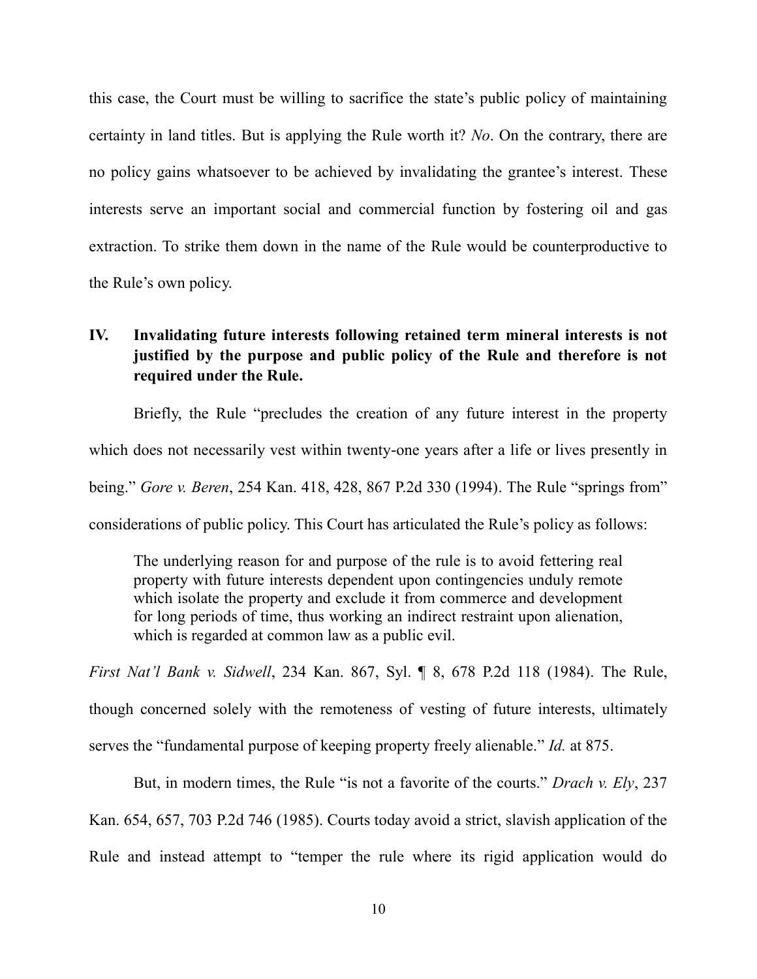this case, the Court must be willing to sacrifice the state's public policy of maintaining certainty in land titles. But is applying the Rule worth it? *No*. On the contrary, there are no policy gains whatsoever to be achieved by invalidating the grantee's interest. These interests serve an important social and commercial function by fostering oil and gas extraction. To strike them down in the name of the Rule would be counterproductive to the Rule's own policy.

### **IV. Invalidating future interests following retained term mineral interests is not justified by the purpose and public policy of the Rule and therefore is not required under the Rule.**

Briefly, the Rule "precludes the creation of any future interest in the property which does not necessarily vest within twenty-one years after a life or lives presently in being." *Gore v. Beren*, 254 Kan. 418, 428, 867 P.2d 330 (1994). The Rule "springs from" considerations of public policy. This Court has articulated the Rule's policy as follows:

The underlying reason for and purpose of the rule is to avoid fettering real property with future interests dependent upon contingencies unduly remote which isolate the property and exclude it from commerce and development for long periods of time, thus working an indirect restraint upon alienation, which is regarded at common law as a public evil.

*First Nat'l Bank v. Sidwell*, 234 Kan. 867, Syl. ¶ 8, 678 P.2d 118 (1984). The Rule, though concerned solely with the remoteness of vesting of future interests, ultimately serves the "fundamental purpose of keeping property freely alienable." *Id.* at 875.

But, in modern times, the Rule "is not a favorite of the courts." *Drach v. Ely*, 237 Kan. 654, 657, 703 P.2d 746 (1985). Courts today avoid a strict, slavish application of the Rule and instead attempt to "temper the rule where its rigid application would do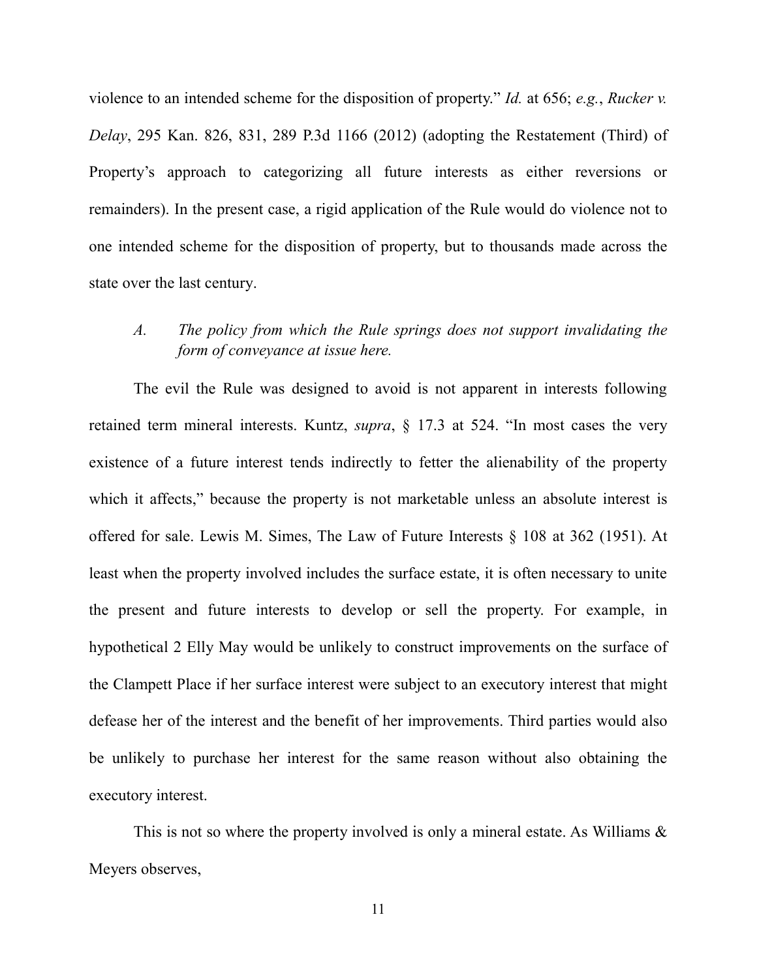violence to an intended scheme for the disposition of property." *Id.* at 656; *e.g.*, *Rucker v. Delay*, 295 Kan. 826, 831, 289 P.3d 1166 (2012) (adopting the Restatement (Third) of Property's approach to categorizing all future interests as either reversions or remainders). In the present case, a rigid application of the Rule would do violence not to one intended scheme for the disposition of property, but to thousands made across the state over the last century.

### *A. The policy from which the Rule springs does not support invalidating the form of conveyance at issue here.*

The evil the Rule was designed to avoid is not apparent in interests following retained term mineral interests. Kuntz, *supra*, § 17.3 at 524. "In most cases the very existence of a future interest tends indirectly to fetter the alienability of the property which it affects," because the property is not marketable unless an absolute interest is offered for sale. Lewis M. Simes, The Law of Future Interests § 108 at 362 (1951). At least when the property involved includes the surface estate, it is often necessary to unite the present and future interests to develop or sell the property. For example, in hypothetical 2 Elly May would be unlikely to construct improvements on the surface of the Clampett Place if her surface interest were subject to an executory interest that might defease her of the interest and the benefit of her improvements. Third parties would also be unlikely to purchase her interest for the same reason without also obtaining the executory interest.

This is not so where the property involved is only a mineral estate. As Williams  $\&$ Meyers observes,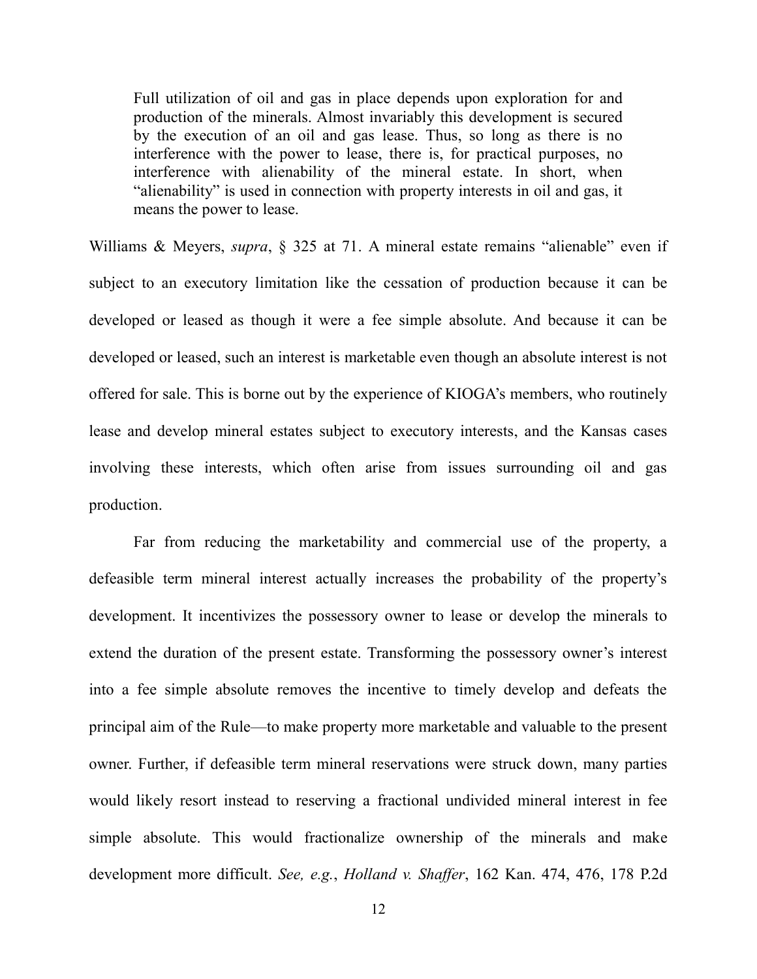Full utilization of oil and gas in place depends upon exploration for and production of the minerals. Almost invariably this development is secured by the execution of an oil and gas lease. Thus, so long as there is no interference with the power to lease, there is, for practical purposes, no interference with alienability of the mineral estate. In short, when "alienability" is used in connection with property interests in oil and gas, it means the power to lease.

Williams & Meyers, *supra*, § 325 at 71. A mineral estate remains "alienable" even if subject to an executory limitation like the cessation of production because it can be developed or leased as though it were a fee simple absolute. And because it can be developed or leased, such an interest is marketable even though an absolute interest is not offered for sale. This is borne out by the experience of KIOGA's members, who routinely lease and develop mineral estates subject to executory interests, and the Kansas cases involving these interests, which often arise from issues surrounding oil and gas production.

Far from reducing the marketability and commercial use of the property, a defeasible term mineral interest actually increases the probability of the property's development. It incentivizes the possessory owner to lease or develop the minerals to extend the duration of the present estate. Transforming the possessory owner's interest into a fee simple absolute removes the incentive to timely develop and defeats the principal aim of the Rule—to make property more marketable and valuable to the present owner. Further, if defeasible term mineral reservations were struck down, many parties would likely resort instead to reserving a fractional undivided mineral interest in fee simple absolute. This would fractionalize ownership of the minerals and make development more difficult. *See, e.g.*, *Holland v. Shaffer*, 162 Kan. 474, 476, 178 P.2d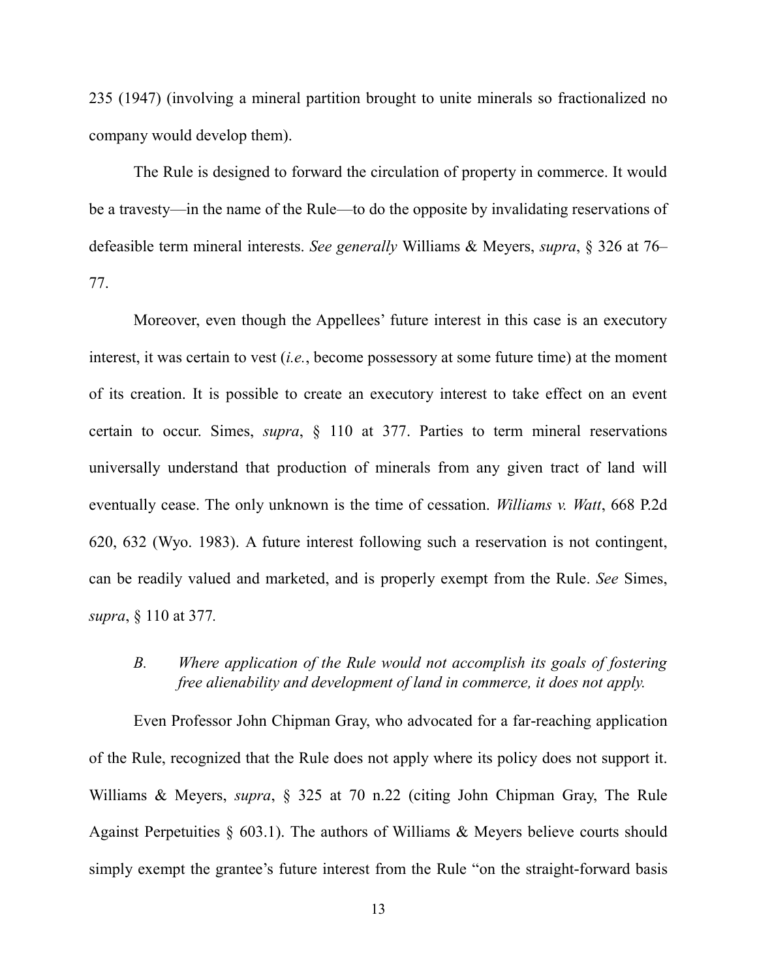235 (1947) (involving a mineral partition brought to unite minerals so fractionalized no company would develop them).

The Rule is designed to forward the circulation of property in commerce. It would be a travesty—in the name of the Rule—to do the opposite by invalidating reservations of defeasible term mineral interests. *See generally* Williams & Meyers, *supra*, § 326 at 76– 77.

Moreover, even though the Appellees' future interest in this case is an executory interest, it was certain to vest (*i.e.*, become possessory at some future time) at the moment of its creation. It is possible to create an executory interest to take effect on an event certain to occur. Simes, *supra*, § 110 at 377. Parties to term mineral reservations universally understand that production of minerals from any given tract of land will eventually cease. The only unknown is the time of cessation. *Williams v. Watt*, 668 P.2d 620, 632 (Wyo. 1983). A future interest following such a reservation is not contingent, can be readily valued and marketed, and is properly exempt from the Rule. *See* Simes, *supra*, § 110 at 377*.*

### *B. Where application of the Rule would not accomplish its goals of fostering free alienability and development of land in commerce, it does not apply.*

Even Professor John Chipman Gray, who advocated for a far-reaching application of the Rule, recognized that the Rule does not apply where its policy does not support it. Williams & Meyers, *supra*, § 325 at 70 n.22 (citing John Chipman Gray, The Rule Against Perpetuities  $\S$  603.1). The authors of Williams & Meyers believe courts should simply exempt the grantee's future interest from the Rule "on the straight-forward basis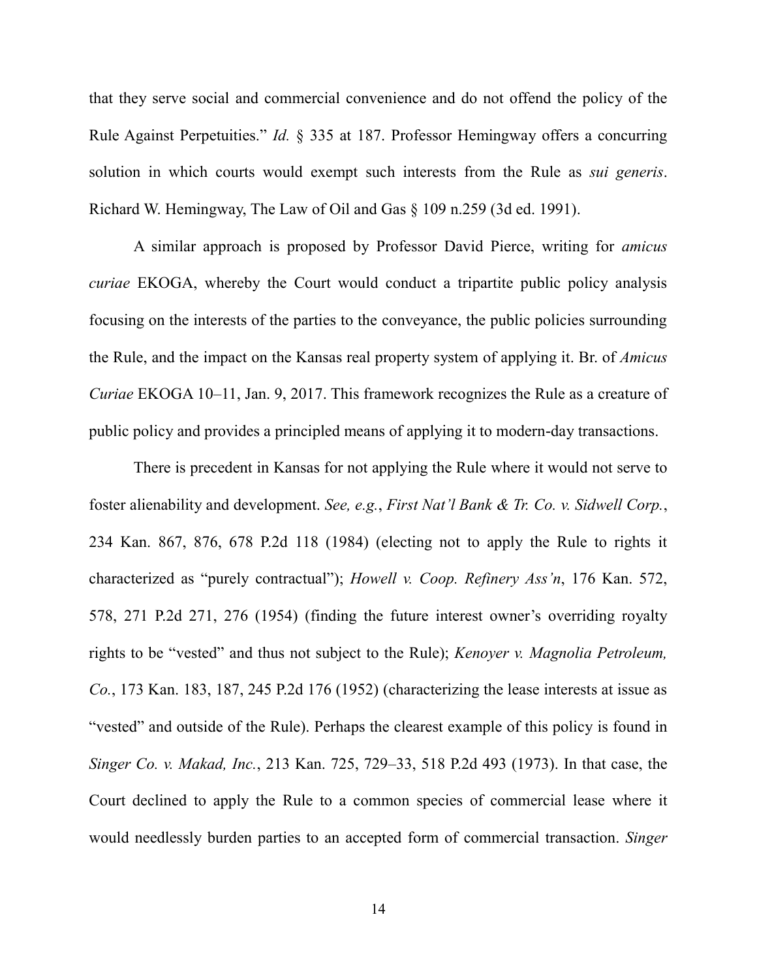that they serve social and commercial convenience and do not offend the policy of the Rule Against Perpetuities." *Id.* § 335 at 187. Professor Hemingway offers a concurring solution in which courts would exempt such interests from the Rule as *sui generis*. Richard W. Hemingway, The Law of Oil and Gas § 109 n.259 (3d ed. 1991).

A similar approach is proposed by Professor David Pierce, writing for *amicus curiae* EKOGA, whereby the Court would conduct a tripartite public policy analysis focusing on the interests of the parties to the conveyance, the public policies surrounding the Rule, and the impact on the Kansas real property system of applying it. Br. of *Amicus Curiae* EKOGA 10–11, Jan. 9, 2017. This framework recognizes the Rule as a creature of public policy and provides a principled means of applying it to modern-day transactions.

There is precedent in Kansas for not applying the Rule where it would not serve to foster alienability and development. *See, e.g.*, *First Nat'l Bank & Tr. Co. v. Sidwell Corp.*, 234 Kan. 867, 876, 678 P.2d 118 (1984) (electing not to apply the Rule to rights it characterized as "purely contractual"); *Howell v. Coop. Refinery Ass'n*, 176 Kan. 572, 578, 271 P.2d 271, 276 (1954) (finding the future interest owner's overriding royalty rights to be "vested" and thus not subject to the Rule); *Kenoyer v. Magnolia Petroleum, Co.*, 173 Kan. 183, 187, 245 P.2d 176 (1952) (characterizing the lease interests at issue as "vested" and outside of the Rule). Perhaps the clearest example of this policy is found in *Singer Co. v. Makad, Inc.*, 213 Kan. 725, 729–33, 518 P.2d 493 (1973). In that case, the Court declined to apply the Rule to a common species of commercial lease where it would needlessly burden parties to an accepted form of commercial transaction. *Singer*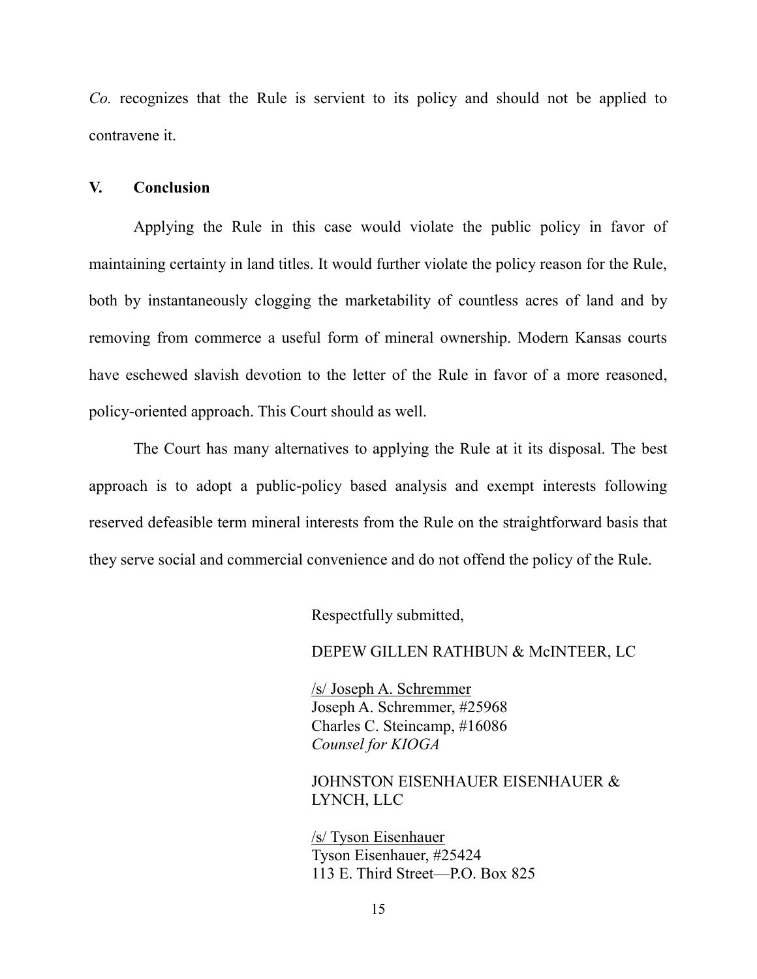*Co.* recognizes that the Rule is servient to its policy and should not be applied to contravene it.

#### **V. Conclusion**

Applying the Rule in this case would violate the public policy in favor of maintaining certainty in land titles. It would further violate the policy reason for the Rule, both by instantaneously clogging the marketability of countless acres of land and by removing from commerce a useful form of mineral ownership. Modern Kansas courts have eschewed slavish devotion to the letter of the Rule in favor of a more reasoned, policy-oriented approach. This Court should as well.

The Court has many alternatives to applying the Rule at it its disposal. The best approach is to adopt a public-policy based analysis and exempt interests following reserved defeasible term mineral interests from the Rule on the straightforward basis that they serve social and commercial convenience and do not offend the policy of the Rule.

Respectfully submitted,

DEPEW GILLEN RATHBUN & McINTEER, LC

/s/ Joseph A. Schremmer Joseph A. Schremmer, #25968 Charles C. Steincamp, #16086 *Counsel for KIOGA*

JOHNSTON EISENHAUER EISENHAUER & LYNCH, LLC

/s/ Tyson Eisenhauer Tyson Eisenhauer, #25424 113 E. Third Street—P.O. Box 825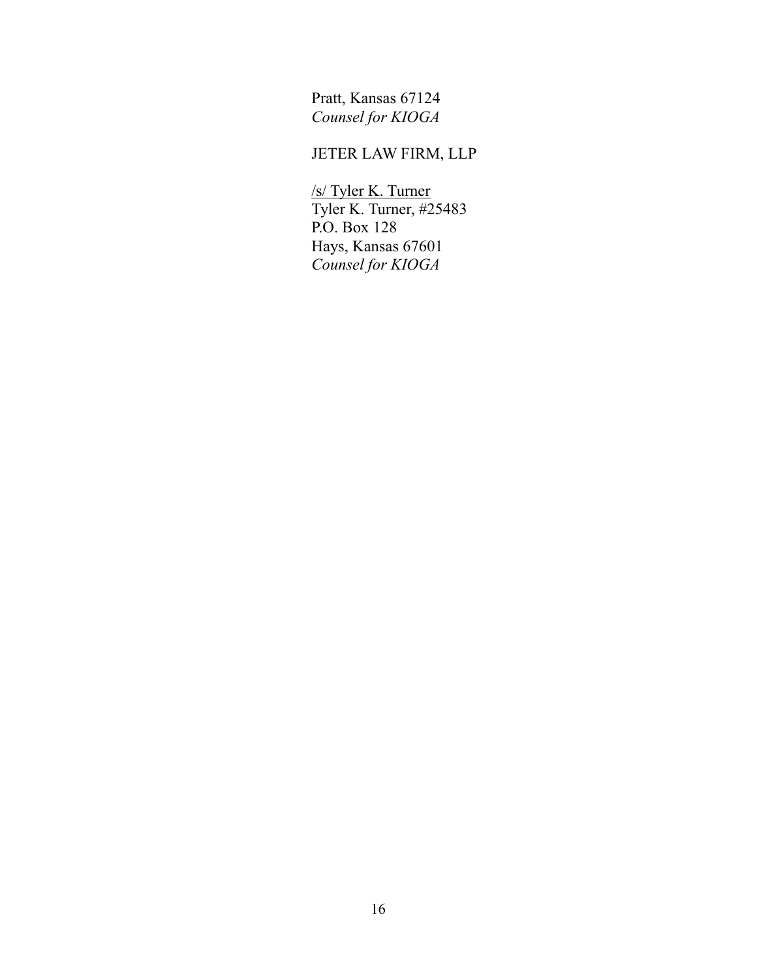Pratt, Kansas 67124 *Counsel for KIOGA*

# JETER LAW FIRM, LLP

/s/ Tyler K. Turner Tyler K. Turner, #25483 P.O. Box 128 Hays, Kansas 67601 *Counsel for KIOGA*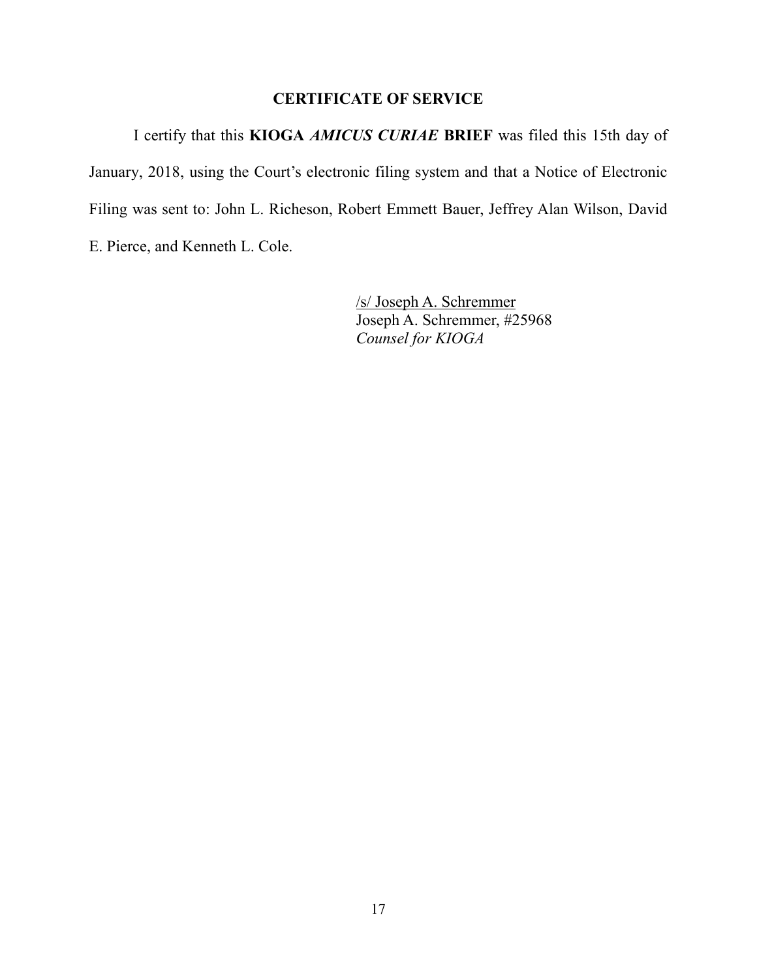### **CERTIFICATE OF SERVICE**

I certify that this **KIOGA** *AMICUS CURIAE* **BRIEF** was filed this 15th day of January, 2018, using the Court's electronic filing system and that a Notice of Electronic Filing was sent to: John L. Richeson, Robert Emmett Bauer, Jeffrey Alan Wilson, David E. Pierce, and Kenneth L. Cole.

> /s/ Joseph A. Schremmer Joseph A. Schremmer, #25968 *Counsel for KIOGA*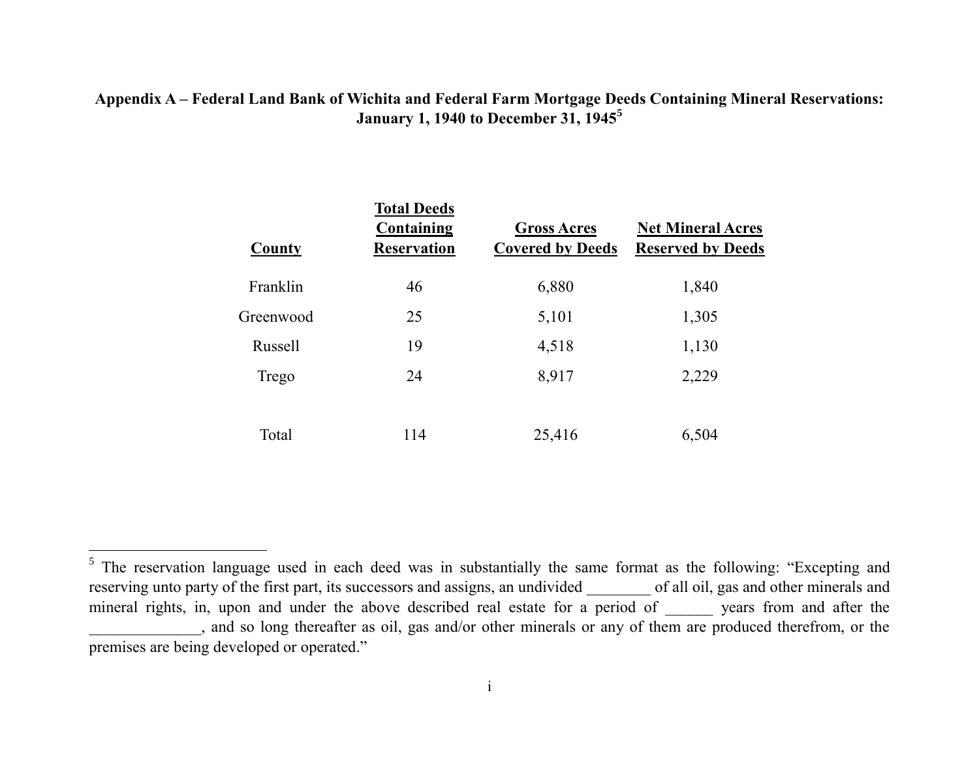### **Appendix A – Federal Land Bank of Wichita and Federal Farm Mortgage Deeds Containing Mineral Reservations: January 1, 1940 to December 31, 1945<sup>5</sup>**

| County    | <b>Total Deeds</b><br><b>Containing</b><br><b>Reservation</b> | <b>Gross Acres</b><br><b>Covered by Deeds</b> | <b>Net Mineral Acres</b><br><b>Reserved by Deeds</b> |
|-----------|---------------------------------------------------------------|-----------------------------------------------|------------------------------------------------------|
| Franklin  | 46                                                            | 6,880                                         | 1,840                                                |
| Greenwood | 25                                                            | 5,101                                         | 1,305                                                |
| Russell   | 19                                                            | 4,518                                         | 1,130                                                |
| Trego     | 24                                                            | 8,917                                         | 2,229                                                |
|           |                                                               |                                               |                                                      |
| Total     | 114                                                           | 25,416                                        | 6,504                                                |

<sup>&</sup>lt;sup>5</sup> The reservation language used in each deed was in substantially the same format as the following: "Excepting and reserving unto party of the first part, its successors and assigns, an undivided \_\_\_\_\_\_\_\_ of all oil, gas and other minerals and mineral rights, in, upon and under the above described real estate for a period of \_\_\_\_\_\_\_ years from and after the and so long thereafter as oil, gas and/or other minerals or any of them are produced therefrom, or the premises are being developed or operated."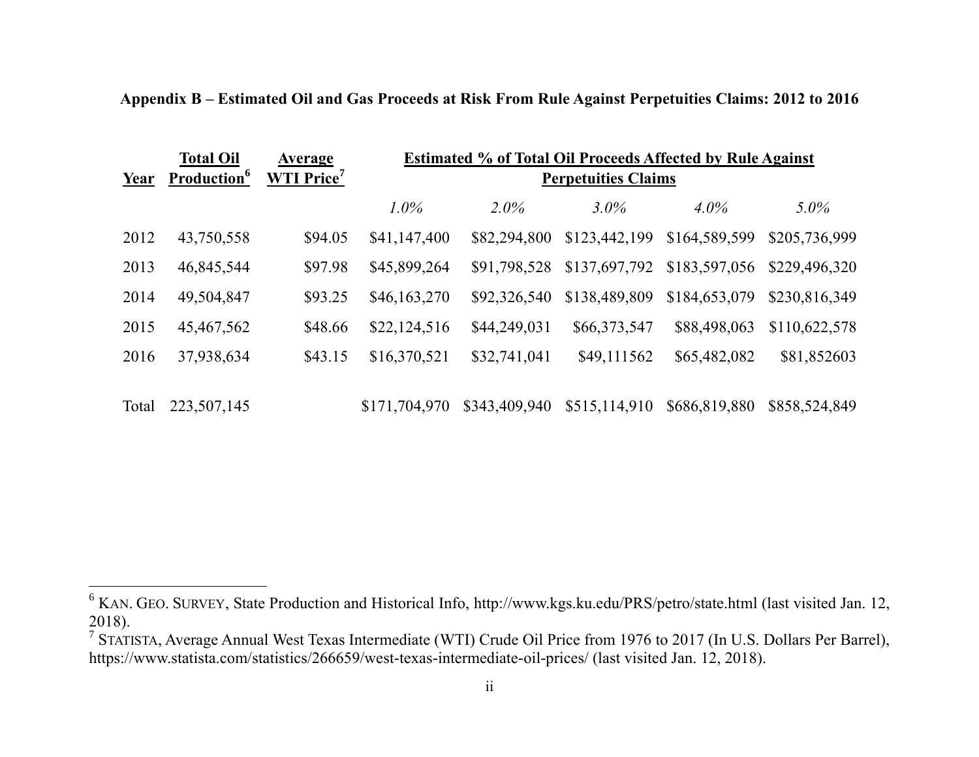|       | <b>Total Oil</b>        | Average            | <b>Estimated % of Total Oil Proceeds Affected by Rule Against</b><br><b>Perpetuities Claims</b> |               |               |               |               |
|-------|-------------------------|--------------------|-------------------------------------------------------------------------------------------------|---------------|---------------|---------------|---------------|
| Year  | Production <sup>6</sup> | <b>WTI Price</b> 7 |                                                                                                 |               |               |               |               |
|       |                         |                    | $1.0\%$                                                                                         | $2.0\%$       | $3.0\%$       | $4.0\%$       | $5.0\%$       |
| 2012  | 43,750,558              | \$94.05            | \$41,147,400                                                                                    | \$82,294,800  | \$123,442,199 | \$164,589,599 | \$205,736,999 |
| 2013  | 46,845,544              | \$97.98            | \$45,899,264                                                                                    | \$91,798,528  | \$137,697,792 | \$183,597,056 | \$229,496,320 |
| 2014  | 49,504,847              | \$93.25            | \$46,163,270                                                                                    | \$92,326,540  | \$138,489,809 | \$184,653,079 | \$230,816,349 |
| 2015  | 45,467,562              | \$48.66            | \$22,124,516                                                                                    | \$44,249,031  | \$66,373,547  | \$88,498,063  | \$110,622,578 |
| 2016  | 37,938,634              | \$43.15            | \$16,370,521                                                                                    | \$32,741,041  | \$49,111562   | \$65,482,082  | \$81,852603   |
|       |                         |                    |                                                                                                 |               |               |               |               |
| Total | 223,507,145             |                    | \$171,704,970                                                                                   | \$343,409,940 | \$515,114,910 | \$686,819,880 | \$858,524,849 |

**Appendix B – Estimated Oil and Gas Proceeds at Risk From Rule Against Perpetuities Claims: 2012 to 2016**

<sup>&</sup>lt;sup>6</sup> KAN. GEO. SURVEY, State Production and Historical Info, http://www.kgs.ku.edu/PRS/petro/state.html (last visited Jan. 12, 2018).

<sup>&</sup>lt;sup>7</sup> STATISTA, Average Annual West Texas Intermediate (WTI) Crude Oil Price from 1976 to 2017 (In U.S. Dollars Per Barrel), https://www.statista.com/statistics/266659/west-texas-intermediate-oil-prices/ (last visited Jan. 12, 2018).